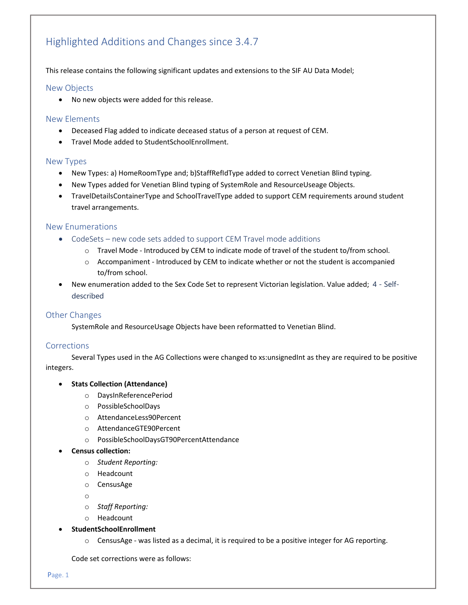# Highlighted Additions and Changes since 3.4.7

## This release contains the following significant updates and extensions to the SIF AU Data Model;

## New Objects

No new objects were added for this release.

## New Elements

- Deceased Flag added to indicate deceased status of a person at request of CEM.
- Travel Mode added to StudentSchoolEnrollment.

#### New Types

- New Types: a) HomeRoomType and; b)StaffRefIdType added to correct Venetian Blind typing.
- New Types added for Venetian Blind typing of SystemRole and ResourceUseage Objects.
- TravelDetailsContainerType and SchoolTravelType added to support CEM requirements around student travel arrangements.

#### New Enumerations

- CodeSets new code sets added to support CEM Travel mode additions
	- o Travel Mode ‐ Introduced by CEM to indicate mode of travel of the student to/from school.
	- o Accompaniment ‐ Introduced by CEM to indicate whether or not the student is accompanied to/from school.
- New enumeration added to the Sex Code Set to represent Victorian legislation. Value added; 4 Selfdescribed

## Other Changes

SystemRole and ResourceUsage Objects have been reformatted to Venetian Blind.

## Corrections

Several Types used in the AG Collections were changed to xs:unsignedInt as they are required to be positive integers.

#### **Stats Collection (Attendance)**

- o DaysInReferencePeriod
- o PossibleSchoolDays
- o AttendanceLess90Percent
- o AttendanceGTE90Percent
- o PossibleSchoolDaysGT90PercentAttendance

## **Census collection:**

- o *Student Reporting:*
- o Headcount
- o CensusAge

o

- o *Staff Reporting:*
- o Headcount

#### **StudentSchoolEnrollment**

o CensusAge ‐ was listed as a decimal, it is required to be a positive integer for AG reporting.

Code set corrections were as follows: